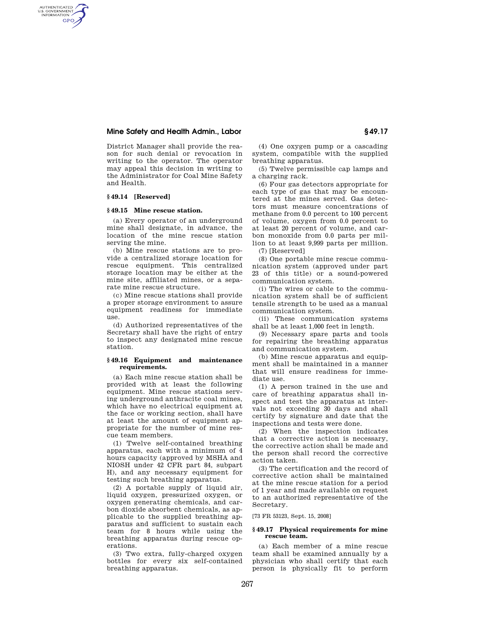# **Mine Safety and Health Admin., Labor § 49.17**

District Manager shall provide the reason for such denial or revocation in writing to the operator. The operator may appeal this decision in writing to the Administrator for Coal Mine Safety and Health.

### **§ 49.14 [Reserved]**

AUTHENTICATED<br>U.S. GOVERNMENT<br>INFORMATION GPO

#### **§ 49.15 Mine rescue station.**

(a) Every operator of an underground mine shall designate, in advance, the location of the mine rescue station serving the mine.

(b) Mine rescue stations are to provide a centralized storage location for rescue equipment. This centralized storage location may be either at the mine site, affiliated mines, or a separate mine rescue structure.

(c) Mine rescue stations shall provide a proper storage environment to assure equipment readiness for immediate use.

(d) Authorized representatives of the Secretary shall have the right of entry to inspect any designated mine rescue station.

#### **§ 49.16 Equipment and maintenance requirements.**

(a) Each mine rescue station shall be provided with at least the following equipment. Mine rescue stations serving underground anthracite coal mines, which have no electrical equipment at the face or working section, shall have at least the amount of equipment appropriate for the number of mine rescue team members.

(1) Twelve self-contained breathing apparatus, each with a minimum of 4 hours capacity (approved by MSHA and NIOSH under 42 CFR part 84, subpart H), and any necessary equipment for testing such breathing apparatus.

(2) A portable supply of liquid air, liquid oxygen, pressurized oxygen, or oxygen generating chemicals, and carbon dioxide absorbent chemicals, as applicable to the supplied breathing apparatus and sufficient to sustain each team for 8 hours while using the breathing apparatus during rescue operations.

(3) Two extra, fully-charged oxygen bottles for every six self-contained breathing apparatus.

(4) One oxygen pump or a cascading system, compatible with the supplied breathing apparatus.

(5) Twelve permissible cap lamps and a charging rack.

(6) Four gas detectors appropriate for each type of gas that may be encountered at the mines served. Gas detectors must measure concentrations of methane from 0.0 percent to 100 percent of volume, oxygen from 0.0 percent to at least 20 percent of volume, and carbon monoxide from 0.0 parts per million to at least 9,999 parts per million. (7) [Reserved]

(8) One portable mine rescue communication system (approved under part 23 of this title) or a sound-powered communication system.

(i) The wires or cable to the communication system shall be of sufficient tensile strength to be used as a manual communication system.

(ii) These communication systems shall be at least 1,000 feet in length.

(9) Necessary spare parts and tools for repairing the breathing apparatus and communication system.

(b) Mine rescue apparatus and equipment shall be maintained in a manner that will ensure readiness for immediate use.

(1) A person trained in the use and care of breathing apparatus shall inspect and test the apparatus at intervals not exceeding 30 days and shall certify by signature and date that the inspections and tests were done.

(2) When the inspection indicates that a corrective action is necessary, the corrective action shall be made and the person shall record the corrective action taken.

(3) The certification and the record of corrective action shall be maintained at the mine rescue station for a period of 1 year and made available on request to an authorized representative of the Secretary.

[73 FR 53123, Sept. 15, 2008]

### **§ 49.17 Physical requirements for mine rescue team.**

(a) Each member of a mine rescue team shall be examined annually by a physician who shall certify that each person is physically fit to perform